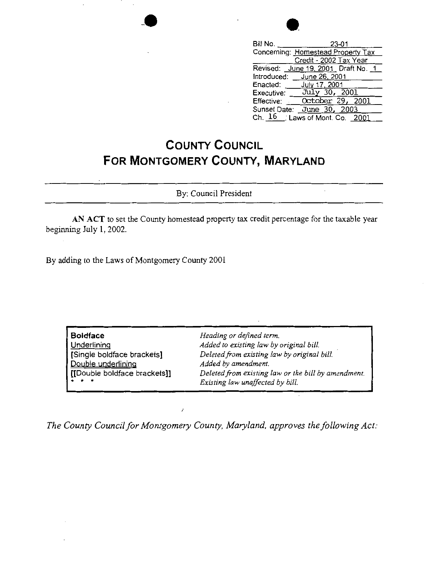| Bill No.<br>23-01                          |
|--------------------------------------------|
| Concerning: Homestead Property Tax         |
| Credit - 2002 Tax Year                     |
| Revised: June 19, 2001, Draft No. 1        |
| Introduced: June 26, 2001                  |
| Enacted: July 17, 2001                     |
| Executive: $\frac{Ju\lambda y}{30}$ , 2001 |
| October 29, 2001<br>Effective:             |
| June 30, 2003<br>Sunset Date:              |
| Ch. 16 : Laws of Mont. Co. 2001            |

## **COUNTY COUNCIL FOR MONTGOMERY COUNTY, MARYLAND**

By: Council President

**AN ACT** to set the County homestead property tax credit percentage for the taxable year beginning July I, 2002.

By adding to the Laws of Montgomery County 2001

| <b>Boidface</b>                                                                 | Heading or defined term.                                                                                                                                      |
|---------------------------------------------------------------------------------|---------------------------------------------------------------------------------------------------------------------------------------------------------------|
| Underlining                                                                     | Added to existing law by original bill.                                                                                                                       |
| Single boldface brackets]<br>Double underlining<br>[[Double boldface brackets]] | Deleted from existing law by original bill.<br>Added by amendment.<br>Deleted from existing law or the bill by amendment.<br>Existing law unaffected by bill. |

*The County Council for Montgomery County, Maryland, approves the following Act:*